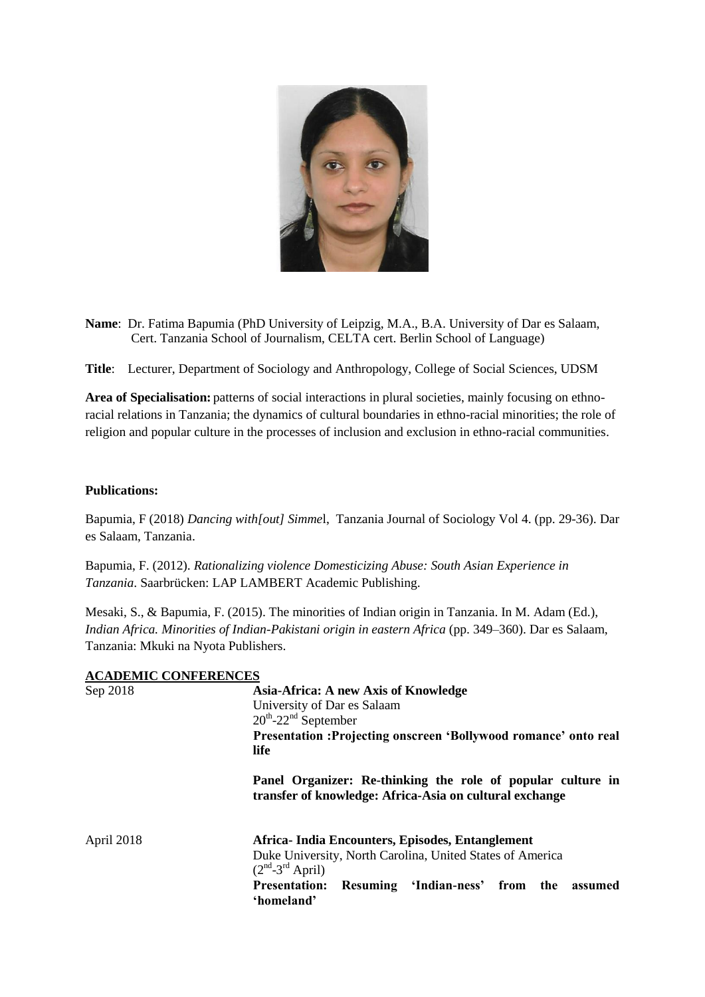

**Name**: Dr. Fatima Bapumia (PhD University of Leipzig, M.A., B.A. University of Dar es Salaam, Cert. Tanzania School of Journalism, CELTA cert. Berlin School of Language)

**Title**: Lecturer, Department of Sociology and Anthropology, College of Social Sciences, UDSM

**Area of Specialisation:** patterns of social interactions in plural societies, mainly focusing on ethnoracial relations in Tanzania; the dynamics of cultural boundaries in ethno-racial minorities; the role of religion and popular culture in the processes of inclusion and exclusion in ethno-racial communities.

## **Publications:**

Bapumia, F (2018) *Dancing with[out] Simme*l, Tanzania Journal of Sociology Vol 4. (pp. 29-36). Dar es Salaam, Tanzania.

Bapumia, F. (2012). *Rationalizing violence Domesticizing Abuse: South Asian Experience in Tanzania*. Saarbrücken: LAP LAMBERT Academic Publishing.

Mesaki, S., & Bapumia, F. (2015). The minorities of Indian origin in Tanzania. In M. Adam (Ed.), *Indian Africa. Minorities of Indian-Pakistani origin in eastern Africa* (pp. 349–360). Dar es Salaam, Tanzania: Mkuki na Nyota Publishers.

| <b>ACADEMIC CONFERENCES</b> |                                                                                                                        |
|-----------------------------|------------------------------------------------------------------------------------------------------------------------|
| Sep 2018                    | Asia-Africa: A new Axis of Knowledge                                                                                   |
|                             | University of Dar es Salaam                                                                                            |
|                             | $20^{th}$ -22 <sup>nd</sup> September                                                                                  |
|                             | Presentation : Projecting onscreen 'Bollywood romance' onto real                                                       |
|                             | life                                                                                                                   |
|                             | Panel Organizer: Re-thinking the role of popular culture in<br>transfer of knowledge: Africa-Asia on cultural exchange |
| April 2018                  | Africa-India Encounters, Episodes, Entanglement                                                                        |
|                             | Duke University, North Carolina, United States of America<br>$(2nd-3rd$ April)                                         |
|                             | Resuming 'Indian-ness' from the<br><b>Presentation:</b><br>assumed<br>'homeland'                                       |